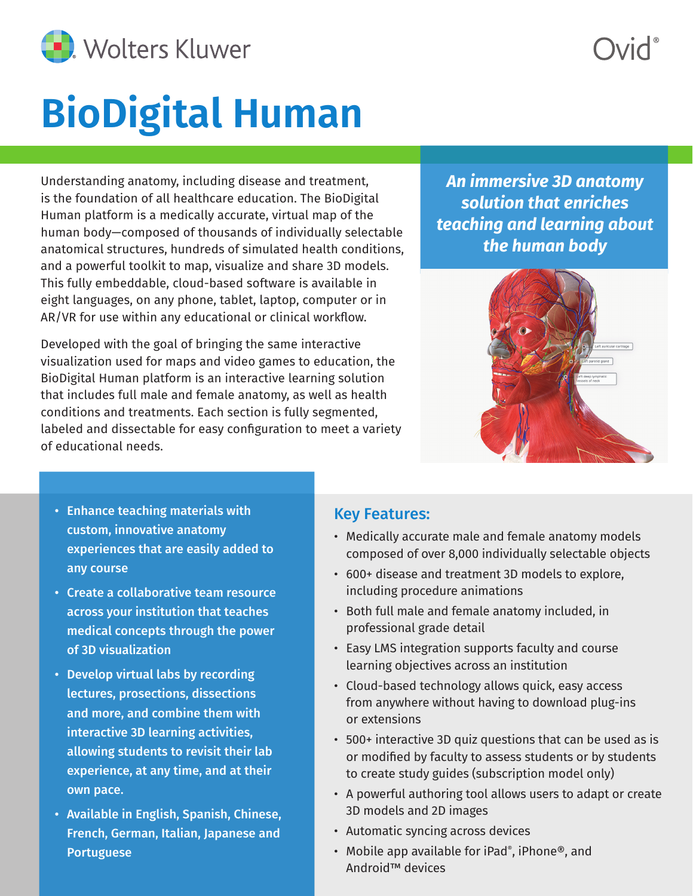

## **BioDigital Human**

Understanding anatomy, including disease and treatment, is the foundation of all healthcare education. The BioDigital Human platform is a medically accurate, virtual map of the human body—composed of thousands of individually selectable anatomical structures, hundreds of simulated health conditions, and a powerful toolkit to map, visualize and share 3D models. This fully embeddable, cloud-based software is available in eight languages, on any phone, tablet, laptop, computer or in AR/VR for use within any educational or clinical workflow.

Developed with the goal of bringing the same interactive visualization used for maps and video games to education, the BioDigital Human platform is an interactive learning solution that includes full male and female anatomy, as well as health conditions and treatments. Each section is fully segmented, labeled and dissectable for easy configuration to meet a variety of educational needs.

*An immersive 3D anatomy solution that enriches teaching and learning about the human body*



- Enhance teaching materials with custom, innovative anatomy experiences that are easily added to any course
- Create a collaborative team resource across your institution that teaches medical concepts through the power of 3D visualization
- Develop virtual labs by recording lectures, prosections, dissections and more, and combine them with interactive 3D learning activities, allowing students to revisit their lab experience, at any time, and at their own pace.
- Available in English, Spanish, Chinese, French, German, Italian, Japanese and Portuguese

#### Key Features:

- Medically accurate male and female anatomy models composed of over 8,000 individually selectable objects
- 600+ disease and treatment 3D models to explore, including procedure animations
- Both full male and female anatomy included, in professional grade detail
- Easy LMS integration supports faculty and course learning objectives across an institution
- Cloud-based technology allows quick, easy access from anywhere without having to download plug-ins or extensions
- 500+ interactive 3D quiz questions that can be used as is or modified by faculty to assess students or by students to create study guides (subscription model only)
- A powerful authoring tool allows users to adapt or create 3D models and 2D images
- Automatic syncing across devices
- Mobile app available for iPad®, iPhone®, and Android™ devices